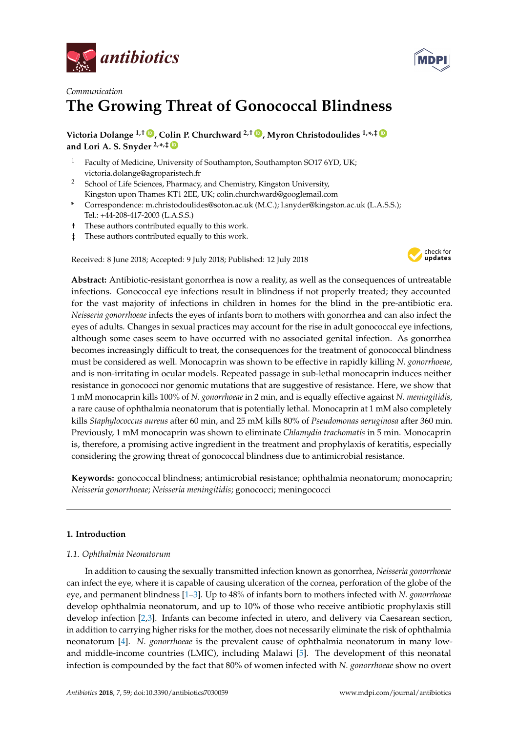



# *Communication* **The Growing Threat of Gonococcal Blindness**

**Victoria Dolange 1,† [ID](https://orcid.org/0000-0001-5410-2342) , Colin P. Churchward 2,† [ID](https://orcid.org/0000-0002-7590-5504) , Myron Christodoulides 1,\* ,‡ [ID](https://orcid.org/0000-0002-9663-4731) and Lori A. S. Snyder 2,\* ,‡ [ID](https://orcid.org/0000-0003-3172-3984)**

- <sup>1</sup> Faculty of Medicine, University of Southampton, Southampton SO17 6YD, UK; victoria.dolange@agroparistech.fr
- <sup>2</sup> School of Life Sciences, Pharmacy, and Chemistry, Kingston University, Kingston upon Thames KT1 2EE, UK; colin.churchward@googlemail.com
- **\*** Correspondence: m.christodoulides@soton.ac.uk (M.C.); l.snyder@kingston.ac.uk (L.A.S.S.); Tel.: +44-208-417-2003 (L.A.S.S.)
- † These authors contributed equally to this work.
- ‡ These authors contributed equally to this work.

Received: 8 June 2018; Accepted: 9 July 2018; Published: 12 July 2018



**Abstract:** Antibiotic-resistant gonorrhea is now a reality, as well as the consequences of untreatable infections. Gonococcal eye infections result in blindness if not properly treated; they accounted for the vast majority of infections in children in homes for the blind in the pre-antibiotic era. *Neisseria gonorrhoeae* infects the eyes of infants born to mothers with gonorrhea and can also infect the eyes of adults. Changes in sexual practices may account for the rise in adult gonococcal eye infections, although some cases seem to have occurred with no associated genital infection. As gonorrhea becomes increasingly difficult to treat, the consequences for the treatment of gonococcal blindness must be considered as well. Monocaprin was shown to be effective in rapidly killing *N. gonorrhoeae*, and is non-irritating in ocular models. Repeated passage in sub-lethal monocaprin induces neither resistance in gonococci nor genomic mutations that are suggestive of resistance. Here, we show that 1 mM monocaprin kills 100% of *N. gonorrhoeae* in 2 min, and is equally effective against *N. meningitidis*, a rare cause of ophthalmia neonatorum that is potentially lethal. Monocaprin at 1 mM also completely kills *Staphylococcus aureus* after 60 min, and 25 mM kills 80% of *Pseudomonas aeruginosa* after 360 min. Previously, 1 mM monocaprin was shown to eliminate *Chlamydia trachomatis* in 5 min. Monocaprin is, therefore, a promising active ingredient in the treatment and prophylaxis of keratitis, especially considering the growing threat of gonococcal blindness due to antimicrobial resistance.

**Keywords:** gonococcal blindness; antimicrobial resistance; ophthalmia neonatorum; monocaprin; *Neisseria gonorrhoeae*; *Neisseria meningitidis*; gonococci; meningococci

# **1. Introduction**

# *1.1. Ophthalmia Neonatorum*

In addition to causing the sexually transmitted infection known as gonorrhea, *Neisseria gonorrhoeae* can infect the eye, where it is capable of causing ulceration of the cornea, perforation of the globe of the eye, and permanent blindness [\[1](#page-4-0)[–3\]](#page-5-0). Up to 48% of infants born to mothers infected with *N. gonorrhoeae* develop ophthalmia neonatorum, and up to 10% of those who receive antibiotic prophylaxis still develop infection [\[2,](#page-4-1)[3\]](#page-5-0). Infants can become infected in utero, and delivery via Caesarean section, in addition to carrying higher risks for the mother, does not necessarily eliminate the risk of ophthalmia neonatorum [\[4\]](#page-5-1). *N. gonorrhoeae* is the prevalent cause of ophthalmia neonatorum in many lowand middle-income countries (LMIC), including Malawi [\[5\]](#page-5-2). The development of this neonatal infection is compounded by the fact that 80% of women infected with *N. gonorrhoeae* show no overt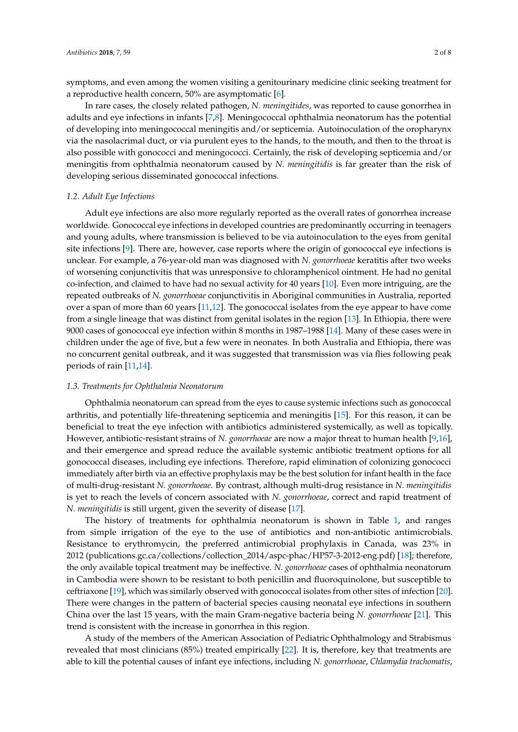symptoms, and even among the women visiting a genitourinary medicine clinic seeking treatment for a reproductive health concern, 50% are asymptomatic [\[6\]](#page-5-3).

In rare cases, the closely related pathogen, *N. meningitides*, was reported to cause gonorrhea in adults and eye infections in infants [\[7,](#page-5-4)[8\]](#page-5-5). Meningococcal ophthalmia neonatorum has the potential of developing into meningococcal meningitis and/or septicemia. Autoinoculation of the oropharynx via the nasolacrimal duct, or via purulent eyes to the hands, to the mouth, and then to the throat is also possible with gonococci and meningococci. Certainly, the risk of developing septicemia and/or meningitis from ophthalmia neonatorum caused by *N. meningitidis* is far greater than the risk of developing serious disseminated gonococcal infections.

#### *1.2. Adult Eye Infections*

Adult eye infections are also more regularly reported as the overall rates of gonorrhea increase worldwide. Gonococcal eye infections in developed countries are predominantly occurring in teenagers and young adults, where transmission is believed to be via autoinoculation to the eyes from genital site infections [\[9\]](#page-5-6). There are, however, case reports where the origin of gonococcal eye infections is unclear. For example, a 76-year-old man was diagnosed with *N. gonorrhoeae* keratitis after two weeks of worsening conjunctivitis that was unresponsive to chloramphenicol ointment. He had no genital co-infection, and claimed to have had no sexual activity for 40 years [\[10\]](#page-5-7). Even more intriguing, are the repeated outbreaks of *N. gonorrhoeae* conjunctivitis in Aboriginal communities in Australia, reported over a span of more than 60 years [\[11,](#page-5-8)[12\]](#page-5-9). The gonococcal isolates from the eye appear to have come from a single lineage that was distinct from genital isolates in the region [\[13\]](#page-5-10). In Ethiopia, there were 9000 cases of gonococcal eye infection within 8 months in 1987–1988 [\[14\]](#page-5-11). Many of these cases were in children under the age of five, but a few were in neonates. In both Australia and Ethiopia, there was no concurrent genital outbreak, and it was suggested that transmission was via flies following peak periods of rain [\[11,](#page-5-8)[14\]](#page-5-11).

#### *1.3. Treatments for Ophthalmia Neonatorum*

Ophthalmia neonatorum can spread from the eyes to cause systemic infections such as gonococcal arthritis, and potentially life-threatening septicemia and meningitis [\[15\]](#page-5-12). For this reason, it can be beneficial to treat the eye infection with antibiotics administered systemically, as well as topically. However, antibiotic-resistant strains of *N. gonorrhoeae* are now a major threat to human health [\[9,](#page-5-6)[16\]](#page-5-13), and their emergence and spread reduce the available systemic antibiotic treatment options for all gonococcal diseases, including eye infections. Therefore, rapid elimination of colonizing gonococci immediately after birth via an effective prophylaxis may be the best solution for infant health in the face of multi-drug-resistant *N. gonorrhoeae*. By contrast, although multi-drug resistance in *N. meningitidis* is yet to reach the levels of concern associated with *N. gonorrhoeae*, correct and rapid treatment of *N. meningitidis* is still urgent, given the severity of disease [\[17\]](#page-5-14).

The history of treatments for ophthalmia neonatorum is shown in Table [1,](#page-2-0) and ranges from simple irrigation of the eye to the use of antibiotics and non-antibiotic antimicrobials. Resistance to erythromycin, the preferred antimicrobial prophylaxis in Canada, was 23% in 2012 (publications.gc.ca/collections/collection\_2014/aspc-phac/HP57-3-2012-eng.pdf) [\[18\]](#page-5-15); therefore, the only available topical treatment may be ineffective. *N. gonorrhoeae* cases of ophthalmia neonatorum in Cambodia were shown to be resistant to both penicillin and fluoroquinolone, but susceptible to ceftriaxone [\[19\]](#page-5-16), which was similarly observed with gonococcal isolates from other sites of infection [\[20\]](#page-5-17). There were changes in the pattern of bacterial species causing neonatal eye infections in southern China over the last 15 years, with the main Gram-negative bacteria being *N. gonorrhoeae* [\[21\]](#page-5-18). This trend is consistent with the increase in gonorrhea in this region.

A study of the members of the American Association of Pediatric Ophthalmology and Strabismus revealed that most clinicians (85%) treated empirically [\[22\]](#page-5-19). It is, therefore, key that treatments are able to kill the potential causes of infant eye infections, including *N. gonorrhoeae*, *Chlamydia trachomatis*,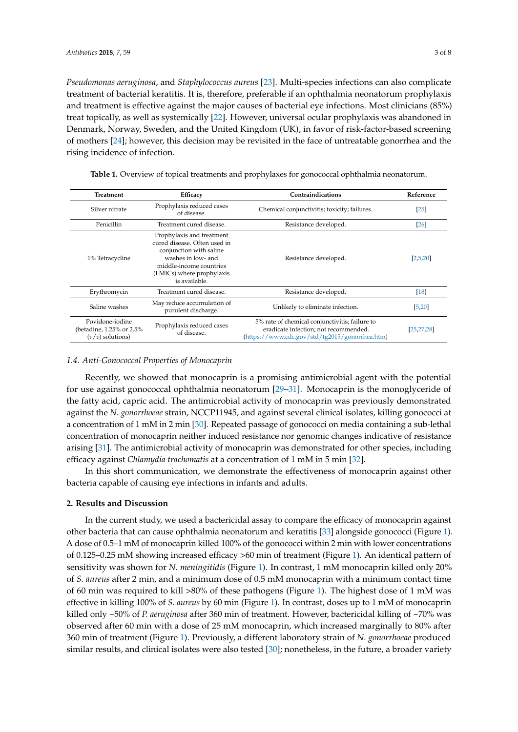*Pseudomonas aeruginosa*, and *Staphylococcus aureus* [\[23\]](#page-5-20). Multi-species infections can also complicate treatment of bacterial keratitis. It is, therefore, preferable if an ophthalmia neonatorum prophylaxis and treatment is effective against the major causes of bacterial eye infections. Most clinicians (85%) treat topically, as well as systemically [\[22\]](#page-5-19). However, universal ocular prophylaxis was abandoned in Denmark, Norway, Sweden, and the United Kingdom (UK), in favor of risk-factor-based screening of mothers [\[24\]](#page-6-0); however, this decision may be revisited in the face of untreatable gonorrhea and the rising incidence of infection.

| Treatment                                                          | Efficacy                                                                                                                                                                            | Contraindications                                                                                                                         | Reference     |
|--------------------------------------------------------------------|-------------------------------------------------------------------------------------------------------------------------------------------------------------------------------------|-------------------------------------------------------------------------------------------------------------------------------------------|---------------|
| Silver nitrate                                                     | Prophylaxis reduced cases<br>of disease.                                                                                                                                            | Chemical conjunctivitis; toxicity; failures.                                                                                              | <b>25</b>     |
| Penicillin                                                         | Treatment cured disease.                                                                                                                                                            | Resistance developed.                                                                                                                     | <b>26</b>     |
| 1% Tetracycline                                                    | Prophylaxis and treatment<br>cured disease. Often used in<br>conjunction with saline<br>washes in low- and<br>middle-income countries<br>(LMICs) where prophylaxis<br>is available. | Resistance developed.                                                                                                                     | [2,5,20]      |
| Erythromycin                                                       | Treatment cured disease.                                                                                                                                                            | Resistance developed.                                                                                                                     | <sup>18</sup> |
| Saline washes                                                      | May reduce accumulation of<br>purulent discharge.                                                                                                                                   | Unlikely to eliminate infection.                                                                                                          | [5, 20]       |
| Povidone-iodine<br>(betadine, 1.25% or 2.5%)<br>$(v/v)$ solutions) | Prophylaxis reduced cases<br>of disease.                                                                                                                                            | 5% rate of chemical conjunctivitis; failure to<br>eradicate infection; not recommended.<br>(https://www.cdc.gov/std/tg2015/gonorrhea.htm) | [25, 27, 28]  |

<span id="page-2-0"></span>**Table 1.** Overview of topical treatments and prophylaxes for gonococcal ophthalmia neonatorum.

#### *1.4. Anti-Gonococcal Properties of Monocaprin*

Recently, we showed that monocaprin is a promising antimicrobial agent with the potential for use against gonococcal ophthalmia neonatorum [\[29–](#page-6-5)[31\]](#page-6-6). Monocaprin is the monoglyceride of the fatty acid, capric acid. The antimicrobial activity of monocaprin was previously demonstrated against the *N. gonorrhoeae* strain, NCCP11945, and against several clinical isolates, killing gonococci at a concentration of 1 mM in 2 min [\[30\]](#page-6-7). Repeated passage of gonococci on media containing a sub-lethal concentration of monocaprin neither induced resistance nor genomic changes indicative of resistance arising [\[31\]](#page-6-6). The antimicrobial activity of monocaprin was demonstrated for other species, including efficacy against *Chlamydia trachomatis* at a concentration of 1 mM in 5 min [\[32\]](#page-6-8).

In this short communication, we demonstrate the effectiveness of monocaprin against other bacteria capable of causing eye infections in infants and adults.

#### **2. Results and Discussion**

In the current study, we used a bactericidal assay to compare the efficacy of monocaprin against other bacteria that can cause ophthalmia neonatorum and keratitis [\[33\]](#page-6-9) alongside gonococci (Figure [1\)](#page-3-0). A dose of 0.5–1 mM of monocaprin killed 100% of the gonococci within 2 min with lower concentrations of 0.125–0.25 mM showing increased efficacy >60 min of treatment (Figure [1\)](#page-3-0). An identical pattern of sensitivity was shown for *N. meningitidis* (Figure [1\)](#page-3-0). In contrast, 1 mM monocaprin killed only 20% of *S. aureus* after 2 min, and a minimum dose of 0.5 mM monocaprin with a minimum contact time of 60 min was required to kill >80% of these pathogens (Figure [1\)](#page-3-0). The highest dose of 1 mM was effective in killing 100% of *S. aureus* by 60 min (Figure [1\)](#page-3-0). In contrast, doses up to 1 mM of monocaprin killed only ~50% of *P. aeruginosa* after 360 min of treatment. However, bactericidal killing of ~70% was observed after 60 min with a dose of 25 mM monocaprin, which increased marginally to 80% after 360 min of treatment (Figure [1\)](#page-3-0). Previously, a different laboratory strain of *N. gonorrhoeae* produced similar results, and clinical isolates were also tested [\[30\]](#page-6-7); nonetheless, in the future, a broader variety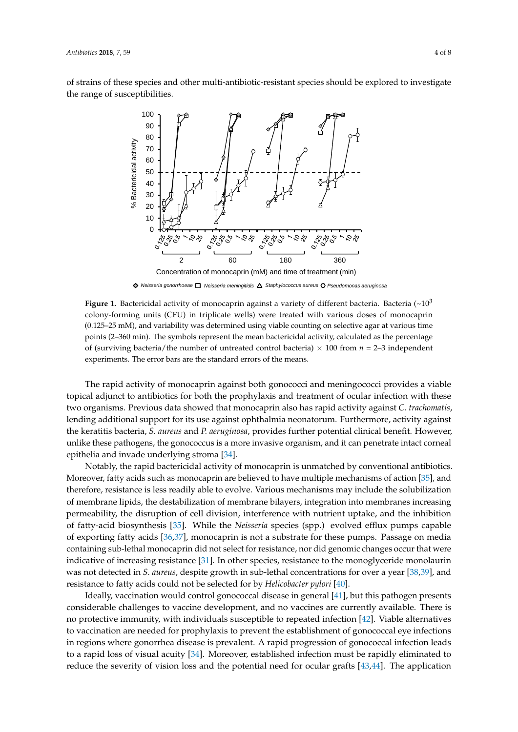<span id="page-3-0"></span>of strains of these species and other multi-antibiotic-resistant species should be explored to investigate the range of susceptibilities.



*Staphylococcus aureus Pseudomonas aeruginosa Neisseria gonorrhoeae Neisseria meningitidis*

**Figure 1.** Bactericidal activity of monocaprin against a variety of different bacteria. Bacteria (~10<sup>3</sup> colony-forming units (CFU) in triplicate wells) were treated with various doses of monocaprin (0.125–25 mM), and variability was determined using viable counting on selective agar at various time points (2–360 min). The symbols represent the mean bactericidal activity, calculated as the percentage of (surviving bacteria/the number of untreated control bacteria)  $\times$  100 from  $n = 2-3$  independent experiments. The error bars are the standard errors of the means.

The rapid activity of monocaprin against both gonococci and meningococci provides a viable topical adjunct to antibiotics for both the prophylaxis and treatment of ocular infection with these two organisms. Previous data showed that monocaprin also has rapid activity against *C. trachomatis*, lending additional support for its use against ophthalmia neonatorum. Furthermore, activity against the keratitis bacteria, *S. aureus* and *P. aeruginosa*, provides further potential clinical benefit. However, unlike these pathogens, the gonococcus is a more invasive organism, and it can penetrate intact corneal epithelia and invade underlying stroma [\[34\]](#page-6-10).

Notably, the rapid bactericidal activity of monocaprin is unmatched by conventional antibiotics. Moreover, fatty acids such as monocaprin are believed to have multiple mechanisms of action [\[35\]](#page-6-11), and therefore, resistance is less readily able to evolve. Various mechanisms may include the solubilization of membrane lipids, the destabilization of membrane bilayers, integration into membranes increasing permeability, the disruption of cell division, interference with nutrient uptake, and the inhibition of fatty-acid biosynthesis [\[35\]](#page-6-11). While the *Neisseria* species (spp.) evolved efflux pumps capable of exporting fatty acids [\[36,](#page-6-12)[37\]](#page-6-13), monocaprin is not a substrate for these pumps. Passage on media containing sub-lethal monocaprin did not select for resistance, nor did genomic changes occur that were indicative of increasing resistance [\[31\]](#page-6-6). In other species, resistance to the monoglyceride monolaurin was not detected in *S. aureus*, despite growth in sub-lethal concentrations for over a year [\[38,](#page-6-14)[39\]](#page-6-15), and resistance to fatty acids could not be selected for by *Helicobacter pylori* [\[40\]](#page-6-16).

Ideally, vaccination would control gonococcal disease in general [\[41\]](#page-6-17), but this pathogen presents considerable challenges to vaccine development, and no vaccines are currently available. There is no protective immunity, with individuals susceptible to repeated infection [\[42\]](#page-6-18). Viable alternatives to vaccination are needed for prophylaxis to prevent the establishment of gonococcal eye infections in regions where gonorrhea disease is prevalent. A rapid progression of gonococcal infection leads to a rapid loss of visual acuity [\[34\]](#page-6-10). Moreover, established infection must be rapidly eliminated to reduce the severity of vision loss and the potential need for ocular grafts [\[43,](#page-6-19)[44\]](#page-6-20). The application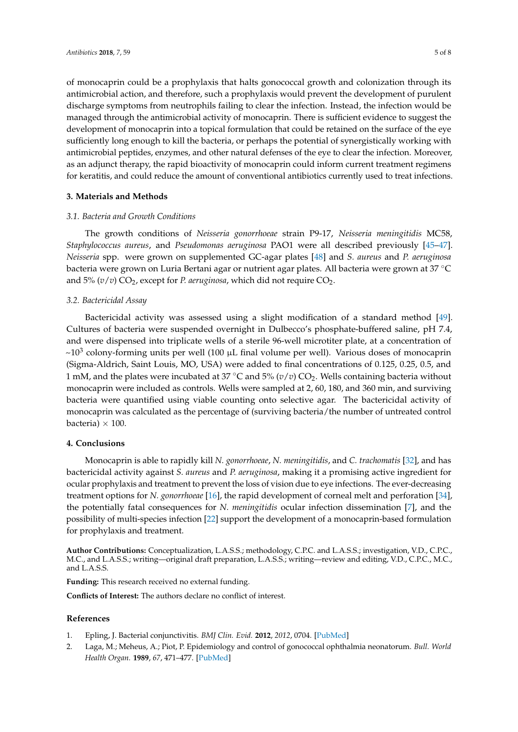of monocaprin could be a prophylaxis that halts gonococcal growth and colonization through its antimicrobial action, and therefore, such a prophylaxis would prevent the development of purulent discharge symptoms from neutrophils failing to clear the infection. Instead, the infection would be managed through the antimicrobial activity of monocaprin. There is sufficient evidence to suggest the development of monocaprin into a topical formulation that could be retained on the surface of the eye sufficiently long enough to kill the bacteria, or perhaps the potential of synergistically working with antimicrobial peptides, enzymes, and other natural defenses of the eye to clear the infection. Moreover, as an adjunct therapy, the rapid bioactivity of monocaprin could inform current treatment regimens for keratitis, and could reduce the amount of conventional antibiotics currently used to treat infections.

# **3. Materials and Methods**

## *3.1. Bacteria and Growth Conditions*

The growth conditions of *Neisseria gonorrhoeae* strain P9-17, *Neisseria meningitidis* MC58, *Staphylococcus aureus*, and *Pseudomonas aeruginosa* PAO1 were all described previously [\[45–](#page-6-21)[47\]](#page-7-0). *Neisseria* spp. were grown on supplemented GC-agar plates [\[48\]](#page-7-1) and *S. aureus* and *P. aeruginosa* bacteria were grown on Luria Bertani agar or nutrient agar plates. All bacteria were grown at 37 ◦C and  $5\%$  ( $v/v$ )  $CO_2$ , except for *P. aeruginosa*, which did not require  $CO_2$ .

## *3.2. Bactericidal Assay*

Bactericidal activity was assessed using a slight modification of a standard method [\[49\]](#page-7-2). Cultures of bacteria were suspended overnight in Dulbecco's phosphate-buffered saline, pH 7.4, and were dispensed into triplicate wells of a sterile 96-well microtiter plate, at a concentration of  $\sim$ 10<sup>3</sup> colony-forming units per well (100  $\mu$ L final volume per well). Various doses of monocaprin (Sigma-Aldrich, Saint Louis, MO, USA) were added to final concentrations of 0.125, 0.25, 0.5, and 1 mM, and the plates were incubated at 37 °C and 5% ( $v/v$ ) CO<sub>2</sub>. Wells containing bacteria without monocaprin were included as controls. Wells were sampled at 2, 60, 180, and 360 min, and surviving bacteria were quantified using viable counting onto selective agar. The bactericidal activity of monocaprin was calculated as the percentage of (surviving bacteria/the number of untreated control bacteria)  $\times$  100.

#### **4. Conclusions**

Monocaprin is able to rapidly kill *N. gonorrhoeae*, *N. meningitidis*, and *C. trachomatis* [\[32\]](#page-6-8), and has bactericidal activity against *S. aureus* and *P. aeruginosa*, making it a promising active ingredient for ocular prophylaxis and treatment to prevent the loss of vision due to eye infections. The ever-decreasing treatment options for *N. gonorrhoeae* [\[16\]](#page-5-13), the rapid development of corneal melt and perforation [\[34\]](#page-6-10), the potentially fatal consequences for *N. meningitidis* ocular infection dissemination [\[7\]](#page-5-4), and the possibility of multi-species infection [\[22\]](#page-5-19) support the development of a monocaprin-based formulation for prophylaxis and treatment.

**Author Contributions:** Conceptualization, L.A.S.S.; methodology, C.P.C. and L.A.S.S.; investigation, V.D., C.P.C., M.C., and L.A.S.S.; writing—original draft preparation, L.A.S.S.; writing—review and editing, V.D., C.P.C., M.C., and L.A.S.S.

**Funding:** This research received no external funding.

**Conflicts of Interest:** The authors declare no conflict of interest.

#### **References**

- <span id="page-4-0"></span>1. Epling, J. Bacterial conjunctivitis. *BMJ Clin. Evid.* **2012**, *2012*, 0704. [\[PubMed\]](http://www.ncbi.nlm.nih.gov/pubmed/22348418)
- <span id="page-4-1"></span>2. Laga, M.; Meheus, A.; Piot, P. Epidemiology and control of gonococcal ophthalmia neonatorum. *Bull. World Health Organ.* **1989**, *67*, 471–477. [\[PubMed\]](http://www.ncbi.nlm.nih.gov/pubmed/2611972)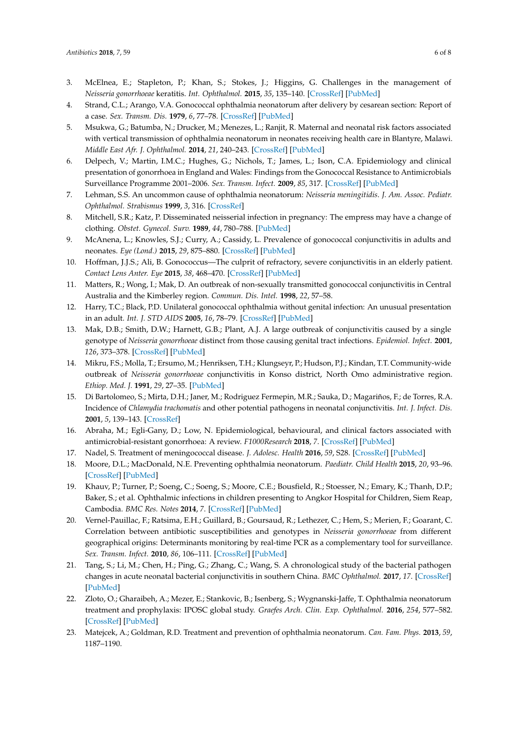- <span id="page-5-0"></span>3. McElnea, E.; Stapleton, P.; Khan, S.; Stokes, J.; Higgins, G. Challenges in the management of *Neisseria gonorrhoeae* keratitis. *Int. Ophthalmol.* **2015**, *35*, 135–140. [\[CrossRef\]](http://dx.doi.org/10.1007/s10792-014-0032-8) [\[PubMed\]](http://www.ncbi.nlm.nih.gov/pubmed/25544662)
- <span id="page-5-1"></span>4. Strand, C.L.; Arango, V.A. Gonococcal ophthalmia neonatorum after delivery by cesarean section: Report of a case. *Sex. Transm. Dis.* **1979**, *6*, 77–78. [\[CrossRef\]](http://dx.doi.org/10.1097/00007435-197904000-00008) [\[PubMed\]](http://www.ncbi.nlm.nih.gov/pubmed/494043)
- <span id="page-5-2"></span>5. Msukwa, G.; Batumba, N.; Drucker, M.; Menezes, L.; Ranjit, R. Maternal and neonatal risk factors associated with vertical transmission of ophthalmia neonatorum in neonates receiving health care in Blantyre, Malawi. *Middle East Afr. J. Ophthalmol.* **2014**, *21*, 240–243. [\[CrossRef\]](http://dx.doi.org/10.4103/0974-9233.134684) [\[PubMed\]](http://www.ncbi.nlm.nih.gov/pubmed/25100909)
- <span id="page-5-3"></span>6. Delpech, V.; Martin, I.M.C.; Hughes, G.; Nichols, T.; James, L.; Ison, C.A. Epidemiology and clinical presentation of gonorrhoea in England and Wales: Findings from the Gonococcal Resistance to Antimicrobials Surveillance Programme 2001–2006. *Sex. Transm. Infect.* **2009**, *85*, 317. [\[CrossRef\]](http://dx.doi.org/10.1136/sti.2008.034843) [\[PubMed\]](http://www.ncbi.nlm.nih.gov/pubmed/19383598)
- <span id="page-5-4"></span>7. Lehman, S.S. An uncommon cause of ophthalmia neonatorum: *Neisseria meningitidis*. *J. Am. Assoc. Pediatr. Ophthalmol. Strabismus* **1999**, *3*, 316. [\[CrossRef\]](http://dx.doi.org/10.1016/S1091-8531(99)70029-7)
- <span id="page-5-5"></span>8. Mitchell, S.R.; Katz, P. Disseminated neisserial infection in pregnancy: The empress may have a change of clothing. *Obstet. Gynecol. Surv.* **1989**, *44*, 780–788. [\[PubMed\]](http://www.ncbi.nlm.nih.gov/pubmed/2507988)
- <span id="page-5-6"></span>9. McAnena, L.; Knowles, S.J.; Curry, A.; Cassidy, L. Prevalence of gonococcal conjunctivitis in adults and neonates. *Eye (Lond.)* **2015**, *29*, 875–880. [\[CrossRef\]](http://dx.doi.org/10.1038/eye.2015.57) [\[PubMed\]](http://www.ncbi.nlm.nih.gov/pubmed/25907207)
- <span id="page-5-7"></span>10. Hoffman, J.J.S.; Ali, B. Gonococcus—The culprit of refractory, severe conjunctivitis in an elderly patient. *Contact Lens Anter. Eye* **2015**, *38*, 468–470. [\[CrossRef\]](http://dx.doi.org/10.1016/j.clae.2015.04.006) [\[PubMed\]](http://www.ncbi.nlm.nih.gov/pubmed/25980791)
- <span id="page-5-8"></span>11. Matters, R.; Wong, I.; Mak, D. An outbreak of non-sexually transmitted gonococcal conjunctivitis in Central Australia and the Kimberley region. *Commun. Dis. Intel.* **1998**, *22*, 57–58.
- <span id="page-5-9"></span>12. Harry, T.C.; Black, P.D. Unilateral gonococcal ophthalmia without genital infection: An unusual presentation in an adult. *Int. J. STD AIDS* **2005**, *16*, 78–79. [\[CrossRef\]](http://dx.doi.org/10.1258/0956462052932773) [\[PubMed\]](http://www.ncbi.nlm.nih.gov/pubmed/15705279)
- <span id="page-5-10"></span>13. Mak, D.B.; Smith, D.W.; Harnett, G.B.; Plant, A.J. A large outbreak of conjunctivitis caused by a single genotype of *Neisseria gonorrhoeae* distinct from those causing genital tract infections. *Epidemiol. Infect.* **2001**, *126*, 373–378. [\[CrossRef\]](http://dx.doi.org/10.1017/S0950268801005477) [\[PubMed\]](http://www.ncbi.nlm.nih.gov/pubmed/11467794)
- <span id="page-5-11"></span>14. Mikru, F.S.; Molla, T.; Ersumo, M.; Henriksen, T.H.; Klungseyr, P.; Hudson, P.J.; Kindan, T.T. Community-wide outbreak of *Neisseria gonorrhoeae* conjunctivitis in Konso district, North Omo administrative region. *Ethiop. Med. J.* **1991**, *29*, 27–35. [\[PubMed\]](http://www.ncbi.nlm.nih.gov/pubmed/1900468)
- <span id="page-5-12"></span>15. Di Bartolomeo, S.; Mirta, D.H.; Janer, M.; Rodriguez Fermepin, M.R.; Sauka, D.; Magariños, F.; de Torres, R.A. Incidence of *Chlamydia trachomatis* and other potential pathogens in neonatal conjunctivitis. *Int. J. Infect. Dis.* **2001**, *5*, 139–143. [\[CrossRef\]](http://dx.doi.org/10.1016/S1201-9712(01)90088-8)
- <span id="page-5-13"></span>16. Abraha, M.; Egli-Gany, D.; Low, N. Epidemiological, behavioural, and clinical factors associated with antimicrobial-resistant gonorrhoea: A review. *F1000Research* **2018**, *7*. [\[CrossRef\]](http://dx.doi.org/10.12688/f1000research.13600.1) [\[PubMed\]](http://www.ncbi.nlm.nih.gov/pubmed/29636908)
- <span id="page-5-14"></span>17. Nadel, S. Treatment of meningococcal disease. *J. Adolesc. Health* **2016**, *59*, S28. [\[CrossRef\]](http://dx.doi.org/10.1016/j.jadohealth.2016.04.013) [\[PubMed\]](http://www.ncbi.nlm.nih.gov/pubmed/27449146)
- <span id="page-5-15"></span>18. Moore, D.L.; MacDonald, N.E. Preventing ophthalmia neonatorum. *Paediatr. Child Health* **2015**, *20*, 93–96. [\[CrossRef\]](http://dx.doi.org/10.1155/2015/720726) [\[PubMed\]](http://www.ncbi.nlm.nih.gov/pubmed/25838784)
- <span id="page-5-16"></span>19. Khauv, P.; Turner, P.; Soeng, C.; Soeng, S.; Moore, C.E.; Bousfield, R.; Stoesser, N.; Emary, K.; Thanh, D.P.; Baker, S.; et al. Ophthalmic infections in children presenting to Angkor Hospital for Children, Siem Reap, Cambodia. *BMC Res. Notes* **2014**, *7*. [\[CrossRef\]](http://dx.doi.org/10.1186/1756-0500-7-784) [\[PubMed\]](http://www.ncbi.nlm.nih.gov/pubmed/25369774)
- <span id="page-5-17"></span>20. Vernel-Pauillac, F.; Ratsima, E.H.; Guillard, B.; Goursaud, R.; Lethezer, C.; Hem, S.; Merien, F.; Goarant, C. Correlation between antibiotic susceptibilities and genotypes in *Neisseria gonorrhoeae* from different geographical origins: Determinants monitoring by real-time PCR as a complementary tool for surveillance. *Sex. Transm. Infect.* **2010**, *86*, 106–111. [\[CrossRef\]](http://dx.doi.org/10.1136/sti.2009.038000) [\[PubMed\]](http://www.ncbi.nlm.nih.gov/pubmed/19880968)
- <span id="page-5-18"></span>21. Tang, S.; Li, M.; Chen, H.; Ping, G.; Zhang, C.; Wang, S. A chronological study of the bacterial pathogen changes in acute neonatal bacterial conjunctivitis in southern China. *BMC Ophthalmol.* **2017**, *17*. [\[CrossRef\]](http://dx.doi.org/10.1186/s12886-017-0570-8) [\[PubMed\]](http://www.ncbi.nlm.nih.gov/pubmed/28950852)
- <span id="page-5-19"></span>22. Zloto, O.; Gharaibeh, A.; Mezer, E.; Stankovic, B.; Isenberg, S.; Wygnanski-Jaffe, T. Ophthalmia neonatorum treatment and prophylaxis: IPOSC global study. *Graefes Arch. Clin. Exp. Ophthalmol.* **2016**, *254*, 577–582. [\[CrossRef\]](http://dx.doi.org/10.1007/s00417-016-3274-5) [\[PubMed\]](http://www.ncbi.nlm.nih.gov/pubmed/26810921)
- <span id="page-5-20"></span>23. Matejcek, A.; Goldman, R.D. Treatment and prevention of ophthalmia neonatorum. *Can. Fam. Phys.* **2013**, *59*, 1187–1190.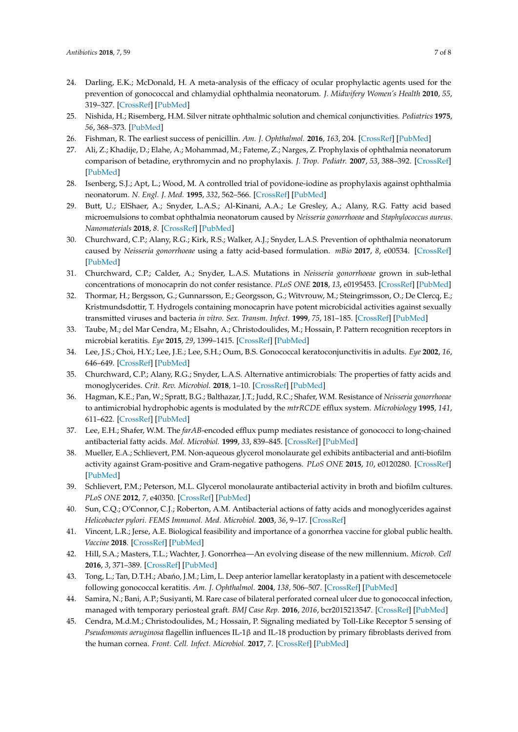- <span id="page-6-0"></span>24. Darling, E.K.; McDonald, H. A meta-analysis of the efficacy of ocular prophylactic agents used for the prevention of gonococcal and chlamydial ophthalmia neonatorum. *J. Midwifery Women's Health* **2010**, *55*, 319–327. [\[CrossRef\]](http://dx.doi.org/10.1016/j.jmwh.2009.09.003) [\[PubMed\]](http://www.ncbi.nlm.nih.gov/pubmed/20630358)
- <span id="page-6-1"></span>25. Nishida, H.; Risemberg, H.M. Silver nitrate ophthalmic solution and chemical conjunctivities. *Pediatrics* **1975**, *56*, 368–373. [\[PubMed\]](http://www.ncbi.nlm.nih.gov/pubmed/808790)
- <span id="page-6-2"></span>26. Fishman, R. The earliest success of penicillin. *Am. J. Ophthalmol.* **2016**, *163*, 204. [\[CrossRef\]](http://dx.doi.org/10.1016/S0002-939430038-1) [\[PubMed\]](http://www.ncbi.nlm.nih.gov/pubmed/27351039)
- <span id="page-6-3"></span>27. Ali, Z.; Khadije, D.; Elahe, A.; Mohammad, M.; Fateme, Z.; Narges, Z. Prophylaxis of ophthalmia neonatorum comparison of betadine, erythromycin and no prophylaxis. *J. Trop. Pediatr.* **2007**, *53*, 388–392. [\[CrossRef\]](http://dx.doi.org/10.1093/tropej/fmm049) [\[PubMed\]](http://www.ncbi.nlm.nih.gov/pubmed/18055489)
- <span id="page-6-4"></span>28. Isenberg, S.J.; Apt, L.; Wood, M. A controlled trial of povidone-iodine as prophylaxis against ophthalmia neonatorum. *N. Engl. J. Med.* **1995**, *332*, 562–566. [\[CrossRef\]](http://dx.doi.org/10.1056/NEJM199503023320903) [\[PubMed\]](http://www.ncbi.nlm.nih.gov/pubmed/7838190)
- <span id="page-6-5"></span>29. Butt, U.; ElShaer, A.; Snyder, L.A.S.; Al-Kinani, A.A.; Le Gresley, A.; Alany, R.G. Fatty acid based microemulsions to combat ophthalmia neonatorum caused by *Neisseria gonorrhoeae* and *Staphylococcus aureus*. *Nanomaterials* **2018**, *8*. [\[CrossRef\]](http://dx.doi.org/10.3390/nano8010051) [\[PubMed\]](http://www.ncbi.nlm.nih.gov/pubmed/29351260)
- <span id="page-6-7"></span>30. Churchward, C.P.; Alany, R.G.; Kirk, R.S.; Walker, A.J.; Snyder, L.A.S. Prevention of ophthalmia neonatorum caused by *Neisseria gonorrhoeae* using a fatty acid-based formulation. *mBio* **2017**, *8*, e00534. [\[CrossRef\]](http://dx.doi.org/10.1128/mBio.00534-17) [\[PubMed\]](http://www.ncbi.nlm.nih.gov/pubmed/28743809)
- <span id="page-6-6"></span>31. Churchward, C.P.; Calder, A.; Snyder, L.A.S. Mutations in *Neisseria gonorrhoeae* grown in sub-lethal concentrations of monocaprin do not confer resistance. *PLoS ONE* **2018**, *13*, e0195453. [\[CrossRef\]](http://dx.doi.org/10.1371/journal.pone.0195453) [\[PubMed\]](http://www.ncbi.nlm.nih.gov/pubmed/29621310)
- <span id="page-6-8"></span>32. Thormar, H.; Bergsson, G.; Gunnarsson, E.; Georgsson, G.; Witvrouw, M.; Steingrimsson, O.; De Clercq, E.; Kristmundsdottir, T. Hydrogels containing monocaprin have potent microbicidal activities against sexually transmitted viruses and bacteria *in vitro*. *Sex. Transm. Infect.* **1999**, *75*, 181–185. [\[CrossRef\]](http://dx.doi.org/10.1136/sti.75.3.181) [\[PubMed\]](http://www.ncbi.nlm.nih.gov/pubmed/10448397)
- <span id="page-6-9"></span>33. Taube, M.; del Mar Cendra, M.; Elsahn, A.; Christodoulides, M.; Hossain, P. Pattern recognition receptors in microbial keratitis. *Eye* **2015**, *29*, 1399–1415. [\[CrossRef\]](http://dx.doi.org/10.1038/eye.2015.118) [\[PubMed\]](http://www.ncbi.nlm.nih.gov/pubmed/26160532)
- <span id="page-6-10"></span>34. Lee, J.S.; Choi, H.Y.; Lee, J.E.; Lee, S.H.; Oum, B.S. Gonococcal keratoconjunctivitis in adults. *Eye* **2002**, *16*, 646–649. [\[CrossRef\]](http://dx.doi.org/10.1038/sj.eye.6700112) [\[PubMed\]](http://www.ncbi.nlm.nih.gov/pubmed/12194086)
- <span id="page-6-11"></span>35. Churchward, C.P.; Alany, R.G.; Snyder, L.A.S. Alternative antimicrobials: The properties of fatty acids and monoglycerides. *Crit. Rev. Microbiol.* **2018**, 1–10. [\[CrossRef\]](http://dx.doi.org/10.1080/1040841X.2018.1467875) [\[PubMed\]](http://www.ncbi.nlm.nih.gov/pubmed/29733249)
- <span id="page-6-12"></span>36. Hagman, K.E.; Pan, W.; Spratt, B.G.; Balthazar, J.T.; Judd, R.C.; Shafer, W.M. Resistance of *Neisseria gonorrhoeae* to antimicrobial hydrophobic agents is modulated by the *mtrRCDE* efflux system. *Microbiology* **1995**, *141*, 611–622. [\[CrossRef\]](http://dx.doi.org/10.1099/13500872-141-3-611) [\[PubMed\]](http://www.ncbi.nlm.nih.gov/pubmed/7711899)
- <span id="page-6-13"></span>37. Lee, E.H.; Shafer, W.M. The *farAB*-encoded efflux pump mediates resistance of gonococci to long-chained antibacterial fatty acids. *Mol. Microbiol.* **1999**, *33*, 839–845. [\[CrossRef\]](http://dx.doi.org/10.1046/j.1365-2958.1999.01530.x) [\[PubMed\]](http://www.ncbi.nlm.nih.gov/pubmed/10447892)
- <span id="page-6-14"></span>38. Mueller, E.A.; Schlievert, P.M. Non-aqueous glycerol monolaurate gel exhibits antibacterial and anti-biofilm activity against Gram-positive and Gram-negative pathogens. *PLoS ONE* **2015**, *10*, e0120280. [\[CrossRef\]](http://dx.doi.org/10.1371/journal.pone.0120280) [\[PubMed\]](http://www.ncbi.nlm.nih.gov/pubmed/25799455)
- <span id="page-6-15"></span>39. Schlievert, P.M.; Peterson, M.L. Glycerol monolaurate antibacterial activity in broth and biofilm cultures. *PLoS ONE* **2012**, *7*, e40350. [\[CrossRef\]](http://dx.doi.org/10.1371/journal.pone.0040350) [\[PubMed\]](http://www.ncbi.nlm.nih.gov/pubmed/22808139)
- <span id="page-6-16"></span>40. Sun, C.Q.; O'Connor, C.J.; Roberton, A.M. Antibacterial actions of fatty acids and monoglycerides against *Helicobacter pylori*. *FEMS Immunol. Med. Microbiol.* **2003**, *36*, 9–17. [\[CrossRef\]](http://dx.doi.org/10.1016/S0928-8244(03)00008-7)
- <span id="page-6-17"></span>41. Vincent, L.R.; Jerse, A.E. Biological feasibility and importance of a gonorrhea vaccine for global public health. *Vaccine* **2018**. [\[CrossRef\]](http://dx.doi.org/10.1016/j.vaccine.2018.02.081) [\[PubMed\]](http://www.ncbi.nlm.nih.gov/pubmed/29680200)
- <span id="page-6-18"></span>42. Hill, S.A.; Masters, T.L.; Wachter, J. Gonorrhea—An evolving disease of the new millennium. *Microb. Cell* **2016**, *3*, 371–389. [\[CrossRef\]](http://dx.doi.org/10.15698/mic2016.09.524) [\[PubMed\]](http://www.ncbi.nlm.nih.gov/pubmed/28357376)
- <span id="page-6-19"></span>43. Tong, L.; Tan, D.T.H.; Abano, J.M.; Lim, L. Deep anterior lamellar keratoplasty in a patient with descemetocele following gonococcal keratitis. *Am. J. Ophthalmol.* **2004**, *138*, 506–507. [\[CrossRef\]](http://dx.doi.org/10.1016/j.ajo.2004.04.014) [\[PubMed\]](http://www.ncbi.nlm.nih.gov/pubmed/15364250)
- <span id="page-6-20"></span>44. Samira, N.; Bani, A.P.; Susiyanti, M. Rare case of bilateral perforated corneal ulcer due to gonococcal infection, managed with temporary periosteal graft. *BMJ Case Rep.* **2016**, *2016*, bcr2015213547. [\[CrossRef\]](http://dx.doi.org/10.1136/bcr-2015-213547) [\[PubMed\]](http://www.ncbi.nlm.nih.gov/pubmed/26907819)
- <span id="page-6-21"></span>45. Cendra, M.d.M.; Christodoulides, M.; Hossain, P. Signaling mediated by Toll-Like Receptor 5 sensing of *Pseudomonas aeruginosa* flagellin influences IL-1β and IL-18 production by primary fibroblasts derived from the human cornea. *Front. Cell. Infect. Microbiol.* **2017**, *7*. [\[CrossRef\]](http://dx.doi.org/10.3389/fcimb.2017.00130) [\[PubMed\]](http://www.ncbi.nlm.nih.gov/pubmed/28469996)